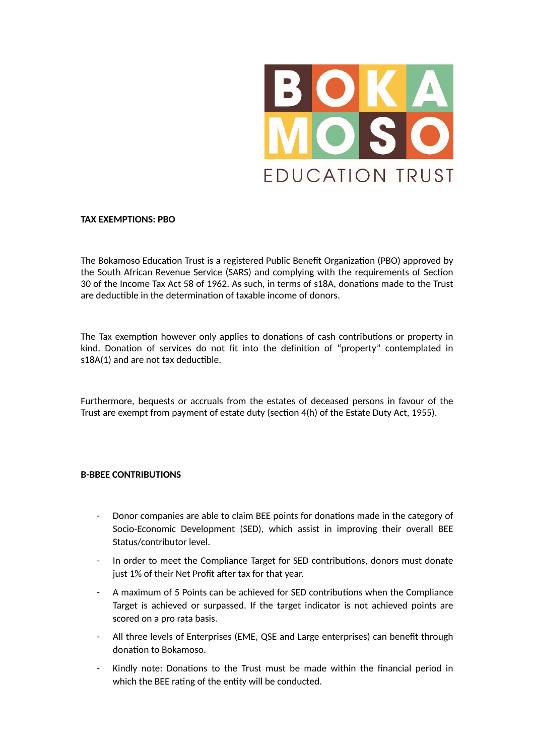

## **TAX EXEMPTIONS: PBO**

The Bokamoso Education Trust is a registered Public Benefit Organization (PBO) approved by the South African Revenue Service (SARS) and complying with the requirements of Section 30 of the Income Tax Act 58 of 1962. As such, in terms of s18A, donations made to the Trust are deductible in the determination of taxable income of donors.

The Tax exemption however only applies to donations of cash contributions or property in kind. Donation of services do not fit into the definition of "property" contemplated in s18A(1) and are not tax deductible.

Furthermore, bequests or accruals from the estates of deceased persons in favour of the Trust are exempt from payment of estate duty (section 4(h) of the Estate Duty Act, 1955).

## **B-BBEE CONTRIBUTIONS**

- Donor companies are able to claim BEE points for donations made in the category of Socio-Economic Development (SED), which assist in improving their overall BEE Status/contributor level.
- In order to meet the Compliance Target for SED contributions, donors must donate just 1% of their Net Profit after tax for that year.
- A maximum of 5 Points can be achieved for SED contributions when the Compliance Target is achieved or surpassed. If the target indicator is not achieved points are scored on a pro rata basis.
- All three levels of Enterprises (EME, QSE and Large enterprises) can benefit through donation to Bokamoso.
- Kindly note: Donations to the Trust must be made within the financial period in which the BEE rating of the entity will be conducted.